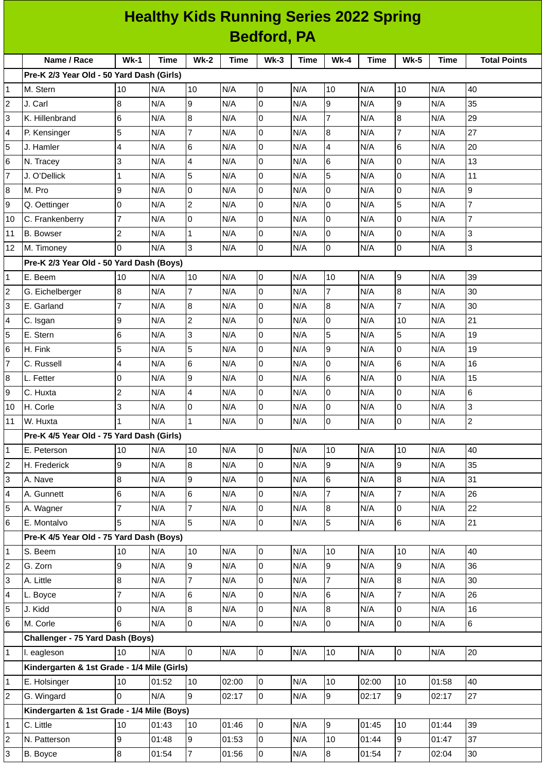| <b>Healthy Kids Running Series 2022 Spring</b> |                                             |                          |       |                |             |                |             |                |             |                  |             |                     |
|------------------------------------------------|---------------------------------------------|--------------------------|-------|----------------|-------------|----------------|-------------|----------------|-------------|------------------|-------------|---------------------|
| <b>Bedford, PA</b>                             |                                             |                          |       |                |             |                |             |                |             |                  |             |                     |
|                                                | Name / Race                                 | $Wk-1$                   | Time  | <b>Wk-2</b>    | <b>Time</b> | $Wk-3$         | <b>Time</b> | <b>Wk-4</b>    | <b>Time</b> | <b>Wk-5</b>      | <b>Time</b> | <b>Total Points</b> |
|                                                | Pre-K 2/3 Year Old - 50 Yard Dash (Girls)   |                          |       |                |             |                |             |                |             |                  |             |                     |
| $\mathbf{1}$                                   | M. Stern                                    | 10                       | N/A   | 10             | N/A         | 0              | N/A         | 10             | N/A         | 10               | N/A         | 40                  |
| $\mathbf 2$                                    | J. Carl                                     | $\bf{8}$                 | N/A   | 9              | N/A         | 0              | N/A         | 9              | N/A         | 9                | N/A         | 35                  |
| 3                                              | K. Hillenbrand                              | $\,6$                    | N/A   | 8              | N/A         | $\overline{0}$ | N/A         | $\overline{7}$ | N/A         | $\boldsymbol{8}$ | N/A         | 29                  |
| 4                                              | P. Kensinger                                | 5                        | N/A   | 7              | N/A         | 0              | N/A         | 8              | N/A         | 7                | N/A         | 27                  |
| 5                                              | J. Hamler                                   | $\overline{4}$           | N/A   | 6              | N/A         | 0              | N/A         | $\overline{4}$ | N/A         | $6\phantom{.}6$  | N/A         | 20                  |
| 6                                              | N. Tracey                                   | 3                        | N/A   | 4              | N/A         | 0              | N/A         | 6              | N/A         | 0                | N/A         | 13                  |
| $\overline{7}$                                 | J. O'Dellick                                | $\mathbf{1}$             | N/A   | 5              | N/A         | $\overline{0}$ | N/A         | 5              | N/A         | 0                | N/A         | 11                  |
| 8                                              | M. Pro                                      | 9                        | N/A   | 0              | N/A         | 0              | N/A         | $\mathbf 0$    | N/A         | $\mathsf{O}$     | N/A         | 9                   |
| 9                                              | Q. Oettinger                                | 0                        | N/A   | $\overline{c}$ | N/A         | 0              | N/A         | $\Omega$       | N/A         | 5                | N/A         | $\overline{7}$      |
| 10                                             | C. Frankenberry                             | $\overline{7}$           | N/A   | 0              | N/A         | 0              | N/A         | 0              | N/A         | 0                | N/A         | 7                   |
| 11                                             | <b>B.</b> Bowser                            | $\overline{c}$           | N/A   | $\mathbf{1}$   | N/A         | 0              | N/A         | $\mathbf 0$    | N/A         | $\overline{0}$   | N/A         | 3                   |
| 12                                             | M. Timoney                                  | 0                        | N/A   | 3              | N/A         | 0              | N/A         | $\overline{0}$ | N/A         | 0                | N/A         | 3                   |
|                                                | Pre-K 2/3 Year Old - 50 Yard Dash (Boys)    |                          |       |                |             |                |             |                |             |                  |             |                     |
| 1                                              | E. Beem                                     | 10                       | N/A   | 10             | N/A         | 0              | N/A         | 10             | N/A         | 9                | N/A         | 39                  |
| $\overline{c}$                                 | G. Eichelberger                             | 8                        | N/A   | $\overline{7}$ | N/A         | 0              | N/A         | $\overline{7}$ | N/A         | 8                | N/A         | 30                  |
| 3                                              | E. Garland                                  | $\overline{7}$           | N/A   | 8              | N/A         | 0              | N/A         | 8              | N/A         | $\overline{7}$   | N/A         | 30                  |
| 4                                              | C. Isgan                                    | 9                        | N/A   | $\overline{c}$ | N/A         | 0              | N/A         | $\mathbf 0$    | N/A         | 10               | N/A         | 21                  |
| 5                                              | E. Stern                                    | 6                        | N/A   | 3              | N/A         | 0              | N/A         | 5              | N/A         | 5                | N/A         | 19                  |
| 6                                              | H. Fink                                     | 5                        | N/A   | 5              | N/A         | 0              | N/A         | 9              | N/A         | 0                | N/A         | 19                  |
| 7                                              | C. Russell                                  | $\overline{\mathcal{L}}$ | N/A   | 6              | N/A         | 0              | N/A         | 0              | N/A         | 6                | N/A         | 16                  |
| 8                                              | L. Fetter                                   | $\overline{0}$           | N/A   | 9              | N/A         | 0              | N/A         | 6              | N/A         | 0                | N/A         | 15                  |
| 9                                              | C. Huxta                                    | $\overline{c}$           | N/A   | 4              | N/A         | $\overline{0}$ | N/A         | 0              | N/A         | 0                | N/A         | 6                   |
| 10                                             | H. Corle                                    | 3                        | N/A   | 0              | N/A         | 0              | N/A         | 0              | N/A         | 0                | N/A         | 3                   |
| 11                                             | W. Huxta                                    | $\mathbf{1}$             | N/A   | $\mathbf{1}$   | N/A         | 0              | N/A         | $\overline{0}$ | N/A         | $\overline{0}$   | N/A         | $\overline{c}$      |
|                                                | Pre-K 4/5 Year Old - 75 Yard Dash (Girls)   |                          |       |                |             |                |             |                |             |                  |             |                     |
| 1                                              | E. Peterson                                 | 10                       | N/A   | 10             | N/A         | $\overline{0}$ | N/A         | 10             | N/A         | 10               | N/A         | 40                  |
| $\overline{\mathbf{c}}$                        | H. Frederick                                | 9                        | N/A   | 8              | N/A         | $\overline{0}$ | N/A         | 9              | N/A         | 9                | N/A         | 35                  |
| 3                                              | A. Nave                                     | $\, 8$                   | N/A   | 9              | N/A         | 0              | N/A         | 6              | N/A         | $\bf{8}$         | N/A         | 31                  |
| 4                                              | A. Gunnett                                  | $\,6$                    | N/A   | 6              | N/A         | 0              | N/A         | $\overline{7}$ | N/A         | $\overline{7}$   | N/A         | 26                  |
| 5                                              | A. Wagner                                   | $\overline{7}$           | N/A   | $\overline{7}$ | N/A         | $\overline{0}$ | N/A         | 8              | N/A         | 0                | N/A         | 22                  |
| 6                                              | E. Montalvo                                 | 5                        | N/A   | 5              | N/A         | $\overline{0}$ | N/A         | 5              | N/A         | 6                | N/A         | 21                  |
|                                                | Pre-K 4/5 Year Old - 75 Yard Dash (Boys)    |                          |       |                |             |                |             |                |             |                  |             |                     |
| 1                                              | S. Beem                                     | 10                       | N/A   | 10             | N/A         | $\overline{0}$ | N/A         | 10             | N/A         | 10               | N/A         | 40                  |
| 2                                              | G. Zorn                                     | 9                        | N/A   | 9              | N/A         | O              | N/A         | 9              | N/A         | 9                | N/A         | 36                  |
| 3                                              | A. Little                                   | $\bf 8$                  | N/A   | $\overline{7}$ | N/A         | $\overline{0}$ | N/A         | $\overline{7}$ | N/A         | $\bf{8}$         | N/A         | 30                  |
| 4                                              | L. Boyce                                    | 7                        | N/A   | 6              | N/A         | 0              | N/A         | 6              | N/A         | 7                | N/A         | 26                  |
| 5                                              | J. Kidd                                     | $\mathsf 0$              | N/A   | 8              | N/A         | 0              | N/A         | 8              | N/A         | 0                | N/A         | 16                  |
| 6                                              | M. Corle                                    | 6                        | N/A   | 0              | N/A         | $\overline{0}$ | N/A         | 0              | N/A         | $\mathsf 0$      | N/A         | 6                   |
|                                                | Challenger - 75 Yard Dash (Boys)            |                          |       |                |             |                |             |                |             |                  |             |                     |
| 1                                              | I. eagleson                                 | 10                       | N/A   | 0              | N/A         | $\overline{0}$ | N/A         | 10             | N/A         | $\overline{0}$   | N/A         | 20                  |
|                                                | Kindergarten & 1st Grade - 1/4 Mile (Girls) |                          |       |                |             |                |             |                |             |                  |             |                     |
| 1                                              | E. Holsinger                                | 10                       | 01:52 | 10             | 02:00       | $\overline{0}$ | N/A         | 10             | 02:00       | 10               | 01:58       | 40                  |
| $\overline{c}$                                 | G. Wingard                                  | $\overline{0}$           | N/A   | 9              | 02:17       | $\overline{0}$ | N/A         | 9              | 02:17       | 9                | 02:17       | 27                  |
|                                                | Kindergarten & 1st Grade - 1/4 Mile (Boys)  |                          |       |                |             |                |             |                |             |                  |             |                     |
| 1                                              | C. Little                                   | 10                       | 01:43 | 10             | 01:46       | $\overline{0}$ | N/A         | 9              | 01:45       | 10               | 01:44       | 39                  |
| 2                                              | N. Patterson                                | 9                        | 01:48 | 9              | 01:53       | $\overline{0}$ | N/A         | 10             | 01:44       | 9                | 01:47       | 37                  |
| 3                                              | B. Boyce                                    | $\bf{8}$                 | 01:54 | $\overline{7}$ | 01:56       | $\overline{0}$ | N/A         | $\bf{8}$       | 01:54       | $\overline{7}$   | 02:04       | 30                  |